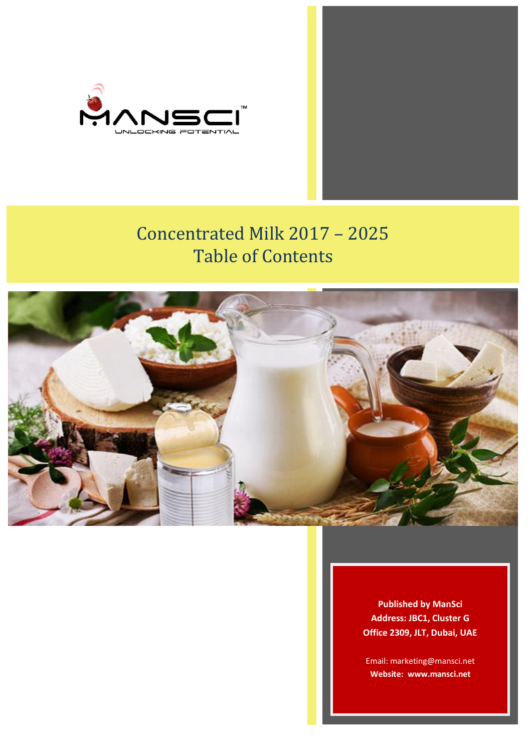

# Concentrated Milk 2017 – 2025 Table of Contents



**Published by ManSci Address: JBC1, Cluster G Office 2309, JLT, Dubai, UAE**

Email: marketing@mansci.net **Website: www.mansci.net**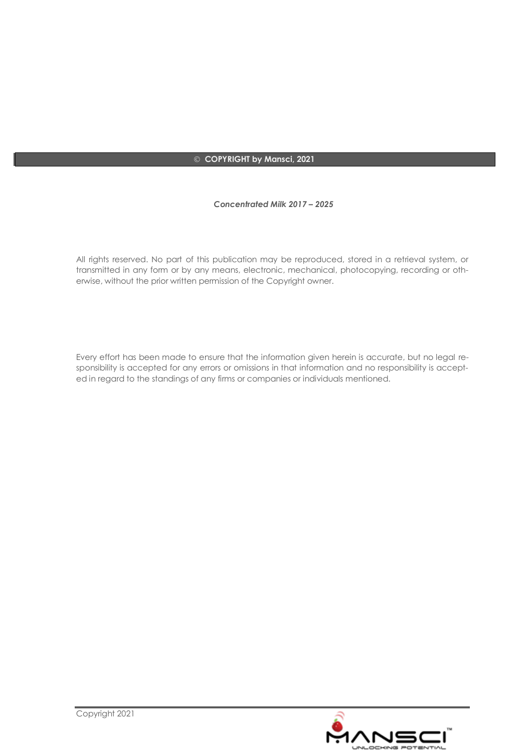#### **COPYRIGHT by Mansci, 2021**

#### *Concentrated Milk 2017 – 2025*

All rights reserved. No part of this publication may be reproduced, stored in a retrieval system, or transmitted in any form or by any means, electronic, mechanical, photocopying, recording or otherwise, without the prior written permission of the Copyright owner.

Every effort has been made to ensure that the information given herein is accurate, but no legal responsibility is accepted for any errors or omissions in that information and no responsibility is accepted in regard to the standings of any firms or companies or individuals mentioned.

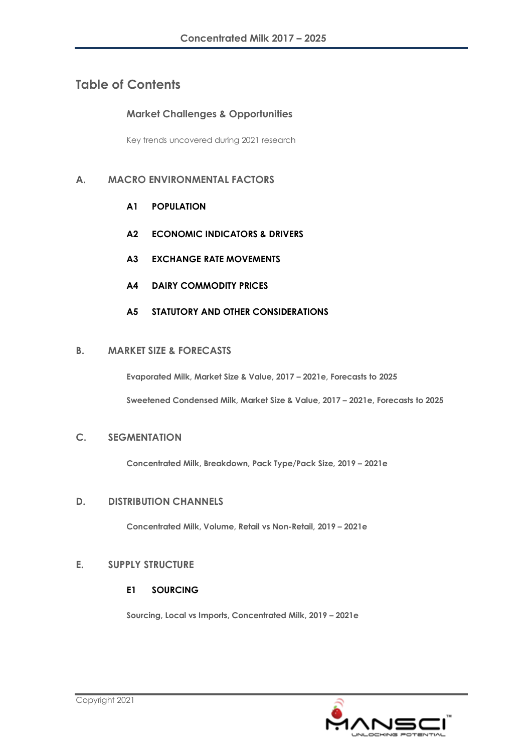# **Table of Contents**

### **Market Challenges & Opportunities**

Key trends uncovered during 2021 research

## **A. MACRO ENVIRONMENTAL FACTORS**

- **A1 POPULATION**
- **A2 ECONOMIC INDICATORS & DRIVERS**
- **A3 EXCHANGE RATE MOVEMENTS**
- **A4 DAIRY COMMODITY PRICES**
- **A5 STATUTORY AND OTHER CONSIDERATIONS**

#### **B. MARKET SIZE & FORECASTS**

**Evaporated Milk, Market Size & Value, 2017 – 2021e, Forecasts to 2025**

**Sweetened Condensed Milk, Market Size & Value, 2017 – 2021e, Forecasts to 2025**

#### **C. SEGMENTATION**

**Concentrated Milk, Breakdown, Pack Type/Pack Size, 2019 – 2021e**

#### **D. DISTRIBUTION CHANNELS**

**Concentrated Milk, Volume, Retail vs Non-Retail, 2019 – 2021e**

#### **E. SUPPLY STRUCTURE**

#### **E1 SOURCING**

**Sourcing, Local vs Imports, Concentrated Milk, 2019 – 2021e**